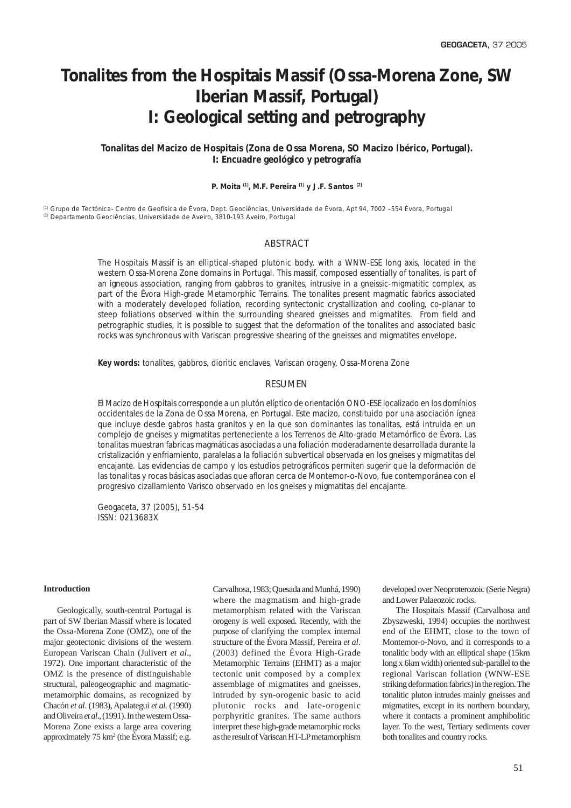# **Tonalites from the Hospitais Massif (Ossa-Morena Zone, SW Iberian Massif, Portugal) I: Geological setting and petrography**

# *Tonalitas del Macizo de Hospitais (Zona de Ossa Morena, SO Macizo Ibérico, Portugal). I: Encuadre geológico y petrografía*

# **P. Moita (1), M.F. Pereira (1) y J.F. Santos (2)**

(1) Grupo de Tectónica- Centro de Geofísica de Évora, Dept. Geociências, Universidade de Évora, Apt 94, 7002 –554 Évora, Portugal (2) Departamento Geociências, Universidade de Aveiro, 3810-193 Aveiro, Portugal

# ABSTRACT

*The Hospitais Massif is an elliptical-shaped plutonic body, with a WNW-ESE long axis, located in the western Ossa-Morena Zone domains in Portugal. This massif, composed essentially of tonalites, is part of an igneous association, ranging from gabbros to granites, intrusive in a gneissic-migmatitic complex, as part of the Évora High-grade Metamorphic Terrains. The tonalites present magmatic fabrics associated with a moderately developed foliation, recording syntectonic crystallization and cooling, co-planar to steep foliations observed within the surrounding sheared gneisses and migmatites. From field and petrographic studies, it is possible to suggest that the deformation of the tonalites and associated basic rocks was synchronous with Variscan progressive shearing of the gneisses and migmatites envelope.*

*Key words: tonalites, gabbros, dioritic enclaves, Variscan orogeny, Ossa-Morena Zone*

# RESUMEN

*El Macizo de Hospitais corresponde a un plutón elíptico de orientación ONO-ESE localizado en los domínios occidentales de la Zona de Ossa Morena, en Portugal. Este macizo, constituido por una asociación ígnea que incluye desde gabros hasta granitos y en la que son dominantes las tonalitas, está intruida en un complejo de gneises y migmatitas perteneciente a los Terrenos de Alto-grado Metamórfico de Évora. Las tonalitas muestran fabricas magmáticas asociadas a una foliación moderadamente desarrollada durante la cristalización y enfriamiento, paralelas a la foliación subvertical observada en los gneises y migmatitas del encajante. Las evidencias de campo y los estudios petrográficos permiten sugerir que la deformación de las tonalitas y rocas básicas asociadas que afloran cerca de Montemor-o-Novo, fue contemporánea con el progresivo cizallamiento Varisco observado en los gneises y migmatitas del encajante.*

*Geogaceta, 37 (2005), 51-54 ISSN: 0213683X*

#### **Introduction**

Geologically, south-central Portugal is part of SW Iberian Massif where is located the Ossa-Morena Zone (OMZ), one of the major geotectonic divisions of the western European Variscan Chain (Julivert *et al*., 1972). One important characteristic of the OMZ is the presence of distinguishable structural, paleogeographic and magmaticmetamorphic domains, as recognized by Chacón *et al*. (1983), Apalategui *et al.* (1990) and Oliveira *et al*., (1991). In the western Ossa-Morena Zone exists a large area covering approximately 75 km2 (the Évora Massif; e.g.

Carvalhosa, 1983; Quesada and Munhá, 1990) where the magmatism and high-grade metamorphism related with the Variscan orogeny is well exposed. Recently, with the purpose of clarifying the complex internal structure of the Évora Massif, Pereira *et al*. (2003) defined the Évora High-Grade Metamorphic Terrains (EHMT) as a major tectonic unit composed by a complex assemblage of migmatites and gneisses, intruded by syn-orogenic basic to acid plutonic rocks and late-orogenic porphyritic granites. The same authors interpret these high-grade metamorphic rocks as the result of Variscan HT-LP metamorphism

developed over Neoproterozoic (Serie Negra) and Lower Palaeozoic rocks.

The Hospitais Massif (Carvalhosa and Zbyszweski, 1994) occupies the northwest end of the EHMT, close to the town of Montemor-o-Novo, and it corresponds to a tonalitic body with an elliptical shape (15km long x 6km width) oriented sub-parallel to the regional Variscan foliation (WNW-ESE striking deformation fabrics) in the region. The tonalitic pluton intrudes mainly gneisses and migmatites, except in its northern boundary, where it contacts a prominent amphibolitic layer. To the west, Tertiary sediments cover both tonalites and country rocks.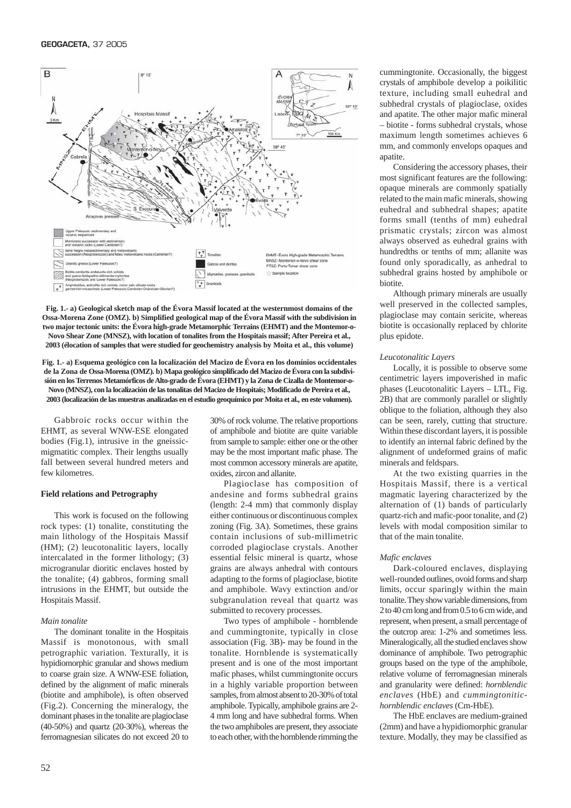

**Fig. 1.- a) Geological sketch map of the Évora Massif located at the westernmost domains of the Ossa-Morena Zone (OMZ). b) Simplified geological map of the Évora Massif with the subdivision in two major tectonic units: the Évora high-grade Metamorphic Terrains (EHMT) and the Montemor-o-Novo Shear Zone (MNSZ), with location of tonalites from the Hospitais massif; After Pereira et al., 2003 (élocation of samples that were studied for geochemistry analysis by Moita et al., this volume)**

**Fig. 1.- a) Esquema geológico con la localización del Macizo de Évora en los domínios occidentales de la Zona de Ossa-Morena (OMZ). b) Mapa geológico simplificado del Macizo de Évora con la subdivisión en los Terrenos Metamórficos de Alto-grado de Évora (EHMT) y la Zona de Cizalla de Montemor-o-Novo (MNSZ), con la localización de las tonalitas del Macizo de Hospitais; Modificado de Pereira et al., 2003 (localización de las muestras analizadas en el estudio geoquímico por Moita et al., en este volumen).**

Gabbroic rocks occur within the EHMT, as several WNW-ESE elongated bodies (Fig.1), intrusive in the gneissicmigmatitic complex. Their lengths usually fall between several hundred meters and few kilometres.

#### **Field relations and Petrography**

This work is focused on the following rock types: (1) tonalite, constituting the main lithology of the Hospitais Massif (HM); (2) leucotonalitic layers, locally intercalated in the former lithology; (3) microgranular dioritic enclaves hosted by the tonalite; (4) gabbros, forming small intrusions in the EHMT, but outside the Hospitais Massif.

#### *Main tonalite*

The dominant tonalite in the Hospitais Massif is monotonous, with small petrographic variation. Texturally, it is hypidiomorphic granular and shows medium to coarse grain size. A WNW-ESE foliation, defined by the alignment of mafic minerals (biotite and amphibole), is often observed (Fig.2). Concerning the mineralogy, the dominant phases in the tonalite are plagioclase (40-50%) and quartz (20-30%), whereas the ferromagnesian silicates do not exceed 20 to

30% of rock volume. The relative proportions of amphibole and biotite are quite variable from sample to sample: either one or the other may be the most important mafic phase. The most common accessory minerals are apatite, oxides, zircon and allanite.

Plagioclase has composition of andesine and forms subhedral grains (length: 2-4 mm) that commonly display either continuous or discontinuous complex zoning (Fig. 3A). Sometimes, these grains contain inclusions of sub-millimetric corroded plagioclase crystals. Another essential felsic mineral is quartz, whose grains are always anhedral with contours adapting to the forms of plagioclase, biotite and amphibole. Wavy extinction and/or subgranulation reveal that quartz was submitted to recovery processes.

Two types of amphibole - hornblende and cummingtonite, typically in close association (Fig. 3B)- may be found in the tonalite. Hornblende is systematically present and is one of the most important mafic phases, whilst cummingtonite occurs in a highly variable proportion between samples, from almost absent to 20-30% of total amphibole. Typically, amphibole grains are 2- 4 mm long and have subhedral forms. When the two amphiboles are present, they associate to each other, with the hornblende rimming the

cummingtonite. Occasionally, the biggest crystals of amphibole develop a poikilitic texture, including small euhedral and subhedral crystals of plagioclase, oxides and apatite. The other major mafic mineral – biotite - forms subhedral crystals, whose maximum length sometimes achieves 6 mm, and commonly envelops opaques and apatite.

Considering the accessory phases, their most significant features are the following: opaque minerals are commonly spatially related to the main mafic minerals, showing euhedral and subhedral shapes; apatite forms small (tenths of mm) euhedral prismatic crystals; zircon was almost always observed as euhedral grains with hundredths or tenths of mm; allanite was found only sporadically, as anhedral to subhedral grains hosted by amphibole or biotite.

Although primary minerals are usually well preserved in the collected samples, plagioclase may contain sericite, whereas biotite is occasionally replaced by chlorite plus epidote.

#### *Leucotonalitic Layers*

Locally, it is possible to observe some centimetric layers impoverished in mafic phases (Leucotonalitic Layers – LTL, Fig. 2B) that are commonly parallel or slightly oblique to the foliation, although they also can be seen, rarely, cutting that structure. Within these discordant layers, it is possible to identify an internal fabric defined by the alignment of undeformed grains of mafic minerals and feldspars.

At the two existing quarries in the Hospitais Massif, there is a vertical magmatic layering characterized by the alternation of (1) bands of particularly quartz-rich and mafic-poor tonalite, and (2) levels with modal composition similar to that of the main tonalite.

# *Mafic enclaves*

Dark-coloured enclaves, displaying well-rounded outlines, ovoid forms and sharp limits, occur sparingly within the main tonalite. They show variable dimensions, from 2 to 40 cm long and from 0.5 to 6 cm wide, and represent, when present, a small percentage of the outcrop area: 1-2% and sometimes less. Mineralogically, all the studied enclaves show dominance of amphibole. Two petrographic groups based on the type of the amphibole, relative volume of ferromagnesian minerals and granularity were defined: *hornblendic enclaves* (HbE) and *cummingtonitichornblendic enclaves* (Cm-HbE).

The HbE enclaves are medium-grained (2mm) and have a hypidiomorphic granular texture. Modally, they may be classified as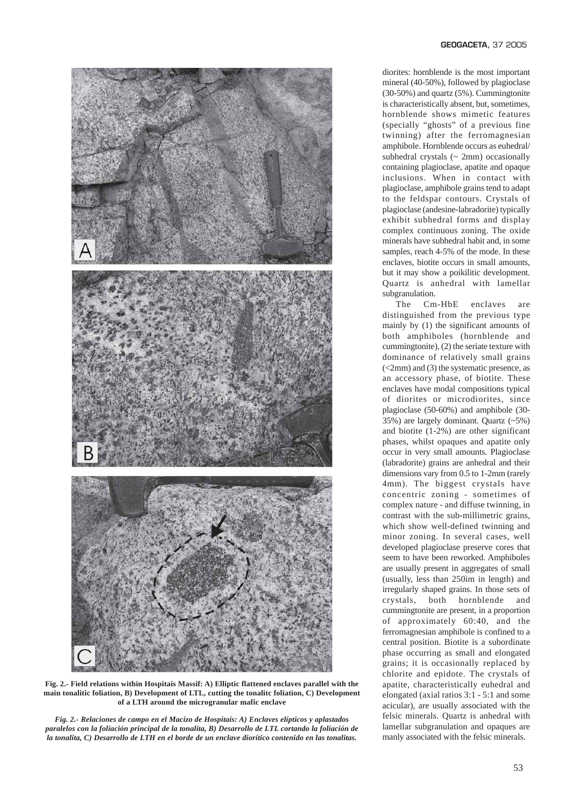

**Fig. 2.- Field relations within Hospitais Massif: A) Elliptic flattened enclaves parallel with the main tonalitic foliation, B) Development of LTL, cutting the tonalitc foliation, C) Development of a LTH around the microgranular mafic enclave**

*Fig. 2.- Relaciones de campo en el Macizo de Hospitais: A) Enclaves elípticos y aplastados paralelos con la foliación principal de la tonalita, B) Desarrollo de LTL cortando la foliación de la tonalita, C) Desarrollo de LTH en el borde de un enclave diorítico contenido en las tonalitas.*

diorites: hornblende is the most important mineral (40-50%), followed by plagioclase (30-50%) and quartz (5%). Cummingtonite is characteristically absent, but, sometimes, hornblende shows mimetic features (specially "ghosts" of a previous fine twinning) after the ferromagnesian amphibole. Hornblende occurs as euhedral/ subhedral crystals  $({\sim 2mm})$  occasionally containing plagioclase, apatite and opaque inclusions. When in contact with plagioclase, amphibole grains tend to adapt to the feldspar contours. Crystals of plagioclase (andesine-labradorite) typically exhibit subhedral forms and display complex continuous zoning. The oxide minerals have subhedral habit and, in some samples, reach 4-5% of the mode. In these enclaves, biotite occurs in small amounts, but it may show a poikilitic development. Quartz is anhedral with lamellar subgranulation.

The Cm-HbE enclaves are distinguished from the previous type mainly by (1) the significant amounts of both amphiboles (hornblende and cummingtonite), (2) the seriate texture with dominance of relatively small grains (<2mm) and (3) the systematic presence, as an accessory phase, of biotite. These enclaves have modal compositions typical of diorites or microdiorites, since plagioclase (50-60%) and amphibole (30- 35%) are largely dominant. Quartz (~5%) and biotite (1-2%) are other significant phases, whilst opaques and apatite only occur in very small amounts. Plagioclase (labradorite) grains are anhedral and their dimensions vary from 0.5 to 1-2mm (rarely 4mm). The biggest crystals have concentric zoning - sometimes of complex nature - and diffuse twinning, in contrast with the sub-millimetric grains, which show well-defined twinning and minor zoning. In several cases, well developed plagioclase preserve cores that seem to have been reworked. Amphiboles are usually present in aggregates of small (usually, less than 250ìm in length) and irregularly shaped grains. In those sets of crystals, both hornblende and cummingtonite are present, in a proportion of approximately 60:40, and the ferromagnesian amphibole is confined to a central position. Biotite is a subordinate phase occurring as small and elongated grains; it is occasionally replaced by chlorite and epidote. The crystals of apatite, characteristically euhedral and elongated (axial ratios 3:1 - 5:1 and some acicular), are usually associated with the felsic minerals. Quartz is anhedral with lamellar subgranulation and opaques are manly associated with the felsic minerals.